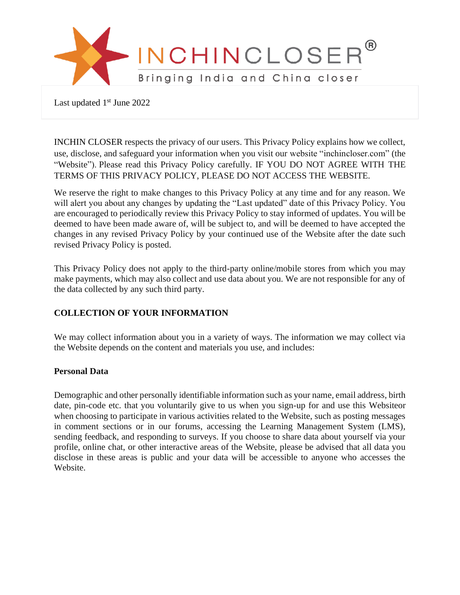

Last updated 1<sup>st</sup> June 2022

INCHIN CLOSER respects the privacy of our users. This Privacy Policy explains how we collect, use, disclose, and safeguard your information when you visit our website "inchincloser.com" (the "Website"). Please read this Privacy Policy carefully. IF YOU DO NOT AGREE WITH THE TERMS OF THIS PRIVACY POLICY, PLEASE DO NOT ACCESS THE WEBSITE.

We reserve the right to make changes to this Privacy Policy at any time and for any reason. We will alert you about any changes by updating the "Last updated" date of this Privacy Policy. You are encouraged to periodically review this Privacy Policy to stay informed of updates. You will be deemed to have been made aware of, will be subject to, and will be deemed to have accepted the changes in any revised Privacy Policy by your continued use of the Website after the date such revised Privacy Policy is posted.

This Privacy Policy does not apply to the third-party online/mobile stores from which you may make payments, which may also collect and use data about you. We are not responsible for any of the data collected by any such third party.

# **COLLECTION OF YOUR INFORMATION**

We may collect information about you in a variety of ways. The information we may collect via the Website depends on the content and materials you use, and includes:

### **Personal Data**

Demographic and other personally identifiable information such as your name, email address, birth date, pin-code etc. that you voluntarily give to us when you sign-up for and use this Websiteor when choosing to participate in various activities related to the Website, such as posting messages in comment sections or in our forums, accessing the Learning Management System (LMS), sending feedback, and responding to surveys. If you choose to share data about yourself via your profile, online chat, or other interactive areas of the Website, please be advised that all data you disclose in these areas is public and your data will be accessible to anyone who accesses the Website.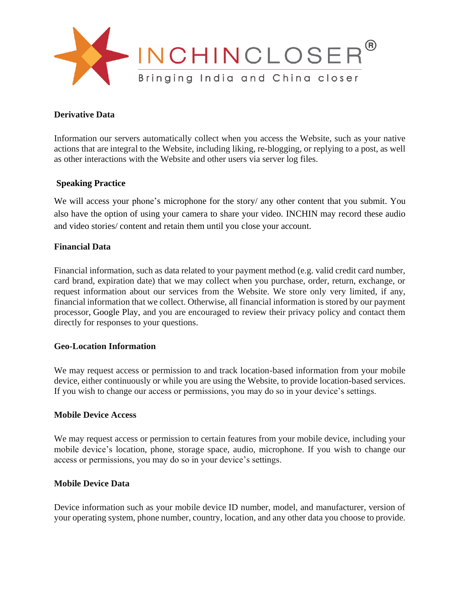

### **Derivative Data**

Information our servers automatically collect when you access the Website, such as your native actions that are integral to the Website, including liking, re-blogging, or replying to a post, as well as other interactions with the Website and other users via server log files.

# **Speaking Practice**

We will access your phone's microphone for the story/ any other content that you submit. You also have the option of using your camera to share your video. INCHIN may record these audio and video stories/ content and retain them until you close your account.

# **Financial Data**

Financial information, such as data related to your payment method (e.g. valid credit card number, card brand, expiration date) that we may collect when you purchase, order, return, exchange, or request information about our services from the Website. We store only very limited, if any, financial information that we collect. Otherwise, all financial information is stored by our payment processor, Google Play, and you are encouraged to review their privacy policy and contact them directly for responses to your questions.

### **Geo-Location Information**

We may request access or permission to and track location-based information from your mobile device, either continuously or while you are using the Website, to provide location-based services. If you wish to change our access or permissions, you may do so in your device's settings.

### **Mobile Device Access**

We may request access or permission to certain features from your mobile device, including your mobile device's location, phone, storage space, audio, microphone. If you wish to change our access or permissions, you may do so in your device's settings.

### **Mobile Device Data**

Device information such as your mobile device ID number, model, and manufacturer, version of your operating system, phone number, country, location, and any other data you choose to provide.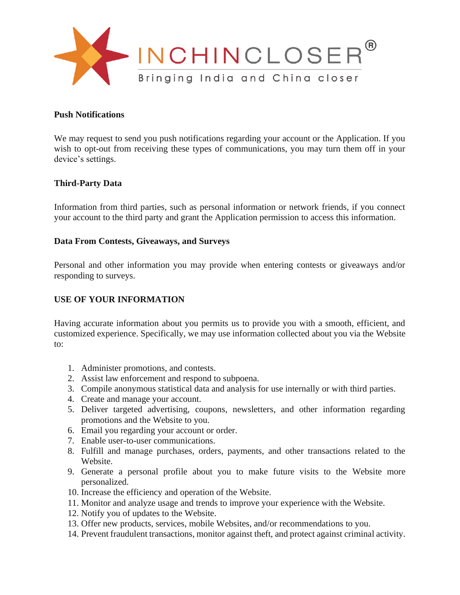

#### **Push Notifications**

We may request to send you push notifications regarding your account or the Application. If you wish to opt-out from receiving these types of communications, you may turn them off in your device's settings.

# **Third-Party Data**

Information from third parties, such as personal information or network friends, if you connect your account to the third party and grant the Application permission to access this information.

### **Data From Contests, Giveaways, and Surveys**

Personal and other information you may provide when entering contests or giveaways and/or responding to surveys.

### **USE OF YOUR INFORMATION**

Having accurate information about you permits us to provide you with a smooth, efficient, and customized experience. Specifically, we may use information collected about you via the Website to:

- 1. Administer promotions, and contests.
- 2. Assist law enforcement and respond to subpoena.
- 3. Compile anonymous statistical data and analysis for use internally or with third parties.
- 4. Create and manage your account.
- 5. Deliver targeted advertising, coupons, newsletters, and other information regarding promotions and the Website to you.
- 6. Email you regarding your account or order.
- 7. Enable user-to-user communications.
- 8. Fulfill and manage purchases, orders, payments, and other transactions related to the Website.
- 9. Generate a personal profile about you to make future visits to the Website more personalized.
- 10. Increase the efficiency and operation of the Website.
- 11. Monitor and analyze usage and trends to improve your experience with the Website.
- 12. Notify you of updates to the Website.
- 13. Offer new products, services, mobile Websites, and/or recommendations to you.
- 14. Prevent fraudulent transactions, monitor against theft, and protect against criminal activity.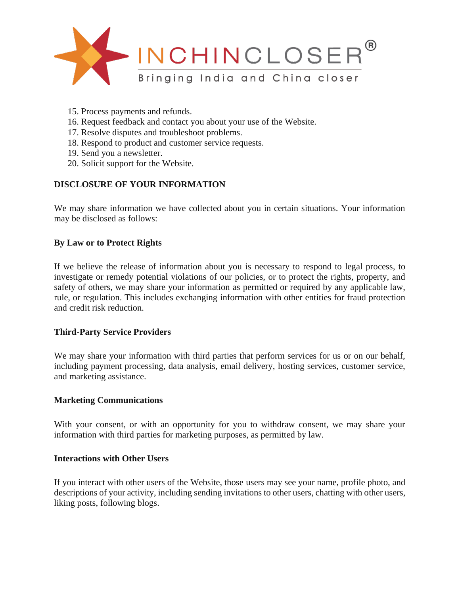

- 15. Process payments and refunds.
- 16. Request feedback and contact you about your use of the Website.
- 17. Resolve disputes and troubleshoot problems.
- 18. Respond to product and customer service requests.
- 19. Send you a newsletter.
- 20. Solicit support for the Website.

# **DISCLOSURE OF YOUR INFORMATION**

We may share information we have collected about you in certain situations. Your information may be disclosed as follows:

# **By Law or to Protect Rights**

If we believe the release of information about you is necessary to respond to legal process, to investigate or remedy potential violations of our policies, or to protect the rights, property, and safety of others, we may share your information as permitted or required by any applicable law, rule, or regulation. This includes exchanging information with other entities for fraud protection and credit risk reduction.

### **Third-Party Service Providers**

We may share your information with third parties that perform services for us or on our behalf, including payment processing, data analysis, email delivery, hosting services, customer service, and marketing assistance.

### **Marketing Communications**

With your consent, or with an opportunity for you to withdraw consent, we may share your information with third parties for marketing purposes, as permitted by law.

#### **Interactions with Other Users**

If you interact with other users of the Website, those users may see your name, profile photo, and descriptions of your activity, including sending invitations to other users, chatting with other users, liking posts, following blogs.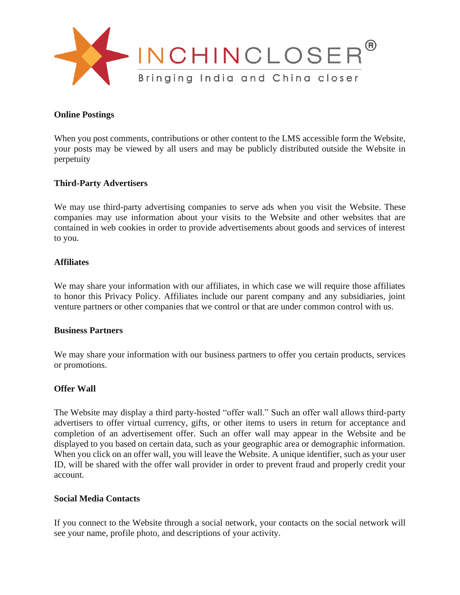

### **Online Postings**

When you post comments, contributions or other content to the LMS accessible form the Website, your posts may be viewed by all users and may be publicly distributed outside the Website in perpetuity

### **Third-Party Advertisers**

We may use third-party advertising companies to serve ads when you visit the Website. These companies may use information about your visits to the Website and other websites that are contained in web cookies in order to provide advertisements about goods and services of interest to you.

#### **Affiliates**

We may share your information with our affiliates, in which case we will require those affiliates to honor this Privacy Policy. Affiliates include our parent company and any subsidiaries, joint venture partners or other companies that we control or that are under common control with us.

#### **Business Partners**

We may share your information with our business partners to offer you certain products, services or promotions.

#### **Offer Wall**

The Website may display a third party-hosted "offer wall." Such an offer wall allows third-party advertisers to offer virtual currency, gifts, or other items to users in return for acceptance and completion of an advertisement offer. Such an offer wall may appear in the Website and be displayed to you based on certain data, such as your geographic area or demographic information. When you click on an offer wall, you will leave the Website. A unique identifier, such as your user ID, will be shared with the offer wall provider in order to prevent fraud and properly credit your account.

#### **Social Media Contacts**

If you connect to the Website through a social network, your contacts on the social network will see your name, profile photo, and descriptions of your activity.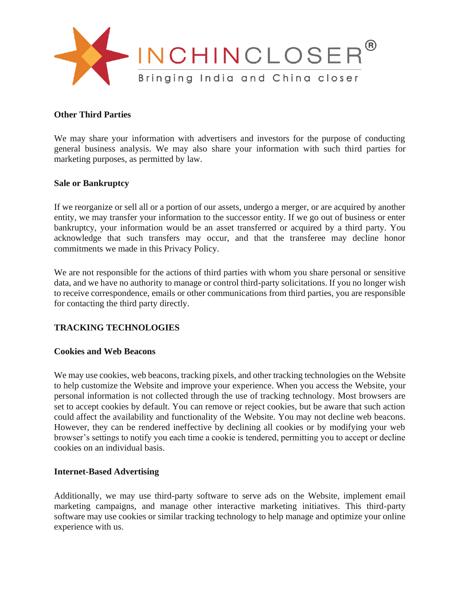

# **Other Third Parties**

We may share your information with advertisers and investors for the purpose of conducting general business analysis. We may also share your information with such third parties for marketing purposes, as permitted by law.

### **Sale or Bankruptcy**

If we reorganize or sell all or a portion of our assets, undergo a merger, or are acquired by another entity, we may transfer your information to the successor entity. If we go out of business or enter bankruptcy, your information would be an asset transferred or acquired by a third party. You acknowledge that such transfers may occur, and that the transferee may decline honor commitments we made in this Privacy Policy.

We are not responsible for the actions of third parties with whom you share personal or sensitive data, and we have no authority to manage or control third-party solicitations. If you no longer wish to receive correspondence, emails or other communications from third parties, you are responsible for contacting the third party directly.

### **TRACKING TECHNOLOGIES**

### **Cookies and Web Beacons**

We may use cookies, web beacons, tracking pixels, and other tracking technologies on the Website to help customize the Website and improve your experience. When you access the Website, your personal information is not collected through the use of tracking technology. Most browsers are set to accept cookies by default. You can remove or reject cookies, but be aware that such action could affect the availability and functionality of the Website. You may not decline web beacons. However, they can be rendered ineffective by declining all cookies or by modifying your web browser's settings to notify you each time a cookie is tendered, permitting you to accept or decline cookies on an individual basis.

### **Internet-Based Advertising**

Additionally, we may use third-party software to serve ads on the Website, implement email marketing campaigns, and manage other interactive marketing initiatives. This third-party software may use cookies or similar tracking technology to help manage and optimize your online experience with us.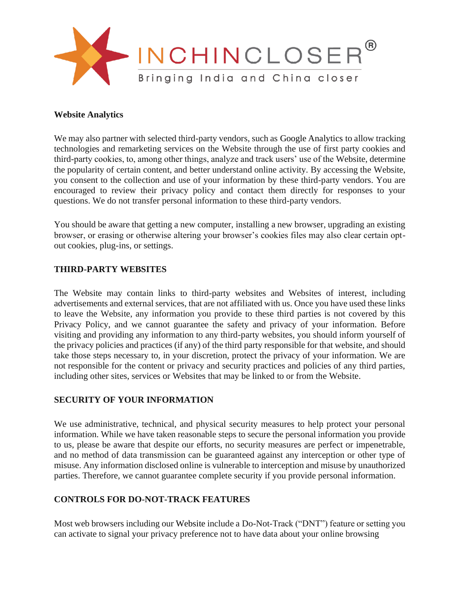

### **Website Analytics**

We may also partner with selected third-party vendors, such as Google Analytics to allow tracking technologies and remarketing services on the Website through the use of first party cookies and third-party cookies, to, among other things, analyze and track users' use of the Website, determine the popularity of certain content, and better understand online activity. By accessing the Website, you consent to the collection and use of your information by these third-party vendors. You are encouraged to review their privacy policy and contact them directly for responses to your questions. We do not transfer personal information to these third-party vendors.

You should be aware that getting a new computer, installing a new browser, upgrading an existing browser, or erasing or otherwise altering your browser's cookies files may also clear certain optout cookies, plug-ins, or settings.

### **THIRD-PARTY WEBSITES**

The Website may contain links to third-party websites and Websites of interest, including advertisements and external services, that are not affiliated with us. Once you have used these links to leave the Website, any information you provide to these third parties is not covered by this Privacy Policy, and we cannot guarantee the safety and privacy of your information. Before visiting and providing any information to any third-party websites, you should inform yourself of the privacy policies and practices (if any) of the third party responsible for that website, and should take those steps necessary to, in your discretion, protect the privacy of your information. We are not responsible for the content or privacy and security practices and policies of any third parties, including other sites, services or Websites that may be linked to or from the Website.

### **SECURITY OF YOUR INFORMATION**

We use administrative, technical, and physical security measures to help protect your personal information. While we have taken reasonable steps to secure the personal information you provide to us, please be aware that despite our efforts, no security measures are perfect or impenetrable, and no method of data transmission can be guaranteed against any interception or other type of misuse. Any information disclosed online is vulnerable to interception and misuse by unauthorized parties. Therefore, we cannot guarantee complete security if you provide personal information.

### **CONTROLS FOR DO-NOT-TRACK FEATURES**

Most web browsers including our Website include a Do-Not-Track ("DNT") feature or setting you can activate to signal your privacy preference not to have data about your online browsing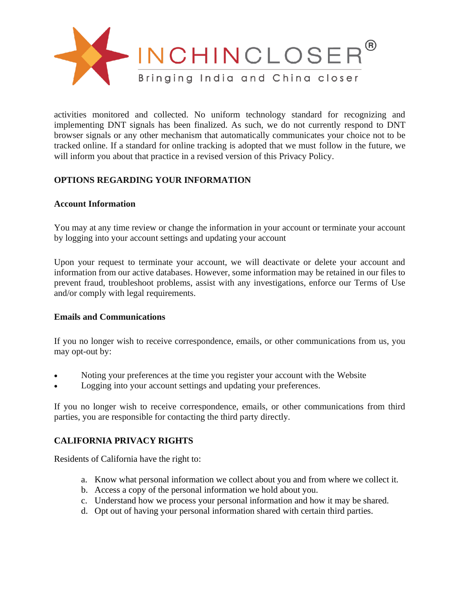

activities monitored and collected. No uniform technology standard for recognizing and implementing DNT signals has been finalized. As such, we do not currently respond to DNT browser signals or any other mechanism that automatically communicates your choice not to be tracked online. If a standard for online tracking is adopted that we must follow in the future, we will inform you about that practice in a revised version of this Privacy Policy.

# **OPTIONS REGARDING YOUR INFORMATION**

# **Account Information**

You may at any time review or change the information in your account or terminate your account by logging into your account settings and updating your account

Upon your request to terminate your account, we will deactivate or delete your account and information from our active databases. However, some information may be retained in our files to prevent fraud, troubleshoot problems, assist with any investigations, enforce our Terms of Use and/or comply with legal requirements.

# **Emails and Communications**

If you no longer wish to receive correspondence, emails, or other communications from us, you may opt-out by:

- Noting your preferences at the time you register your account with the Website
- Logging into your account settings and updating your preferences.

If you no longer wish to receive correspondence, emails, or other communications from third parties, you are responsible for contacting the third party directly.

# **CALIFORNIA PRIVACY RIGHTS**

Residents of California have the right to:

- a. Know what personal information we collect about you and from where we collect it.
- b. Access a copy of the personal information we hold about you.
- c. Understand how we process your personal information and how it may be shared.
- d. Opt out of having your personal information shared with certain third parties.